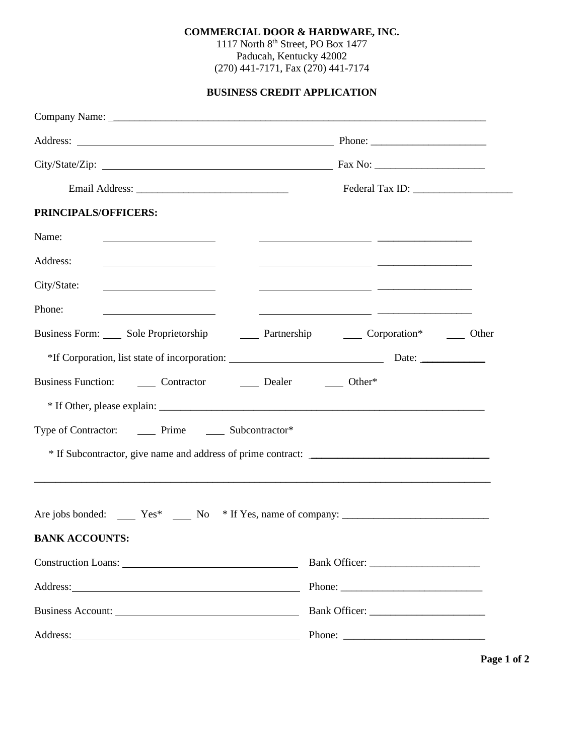## **COMMERCIAL DOOR & HARDWARE, INC.**

1117 North 8<sup>th</sup> Street, PO Box 1477 Paducah, Kentucky 42002 (270) 441-7171, Fax (270) 441-7174

**BUSINESS CREDIT APPLICATION**

| PRINCIPALS/OFFICERS:                                                                                                                                                                                                                           |                                                              |  |  |  |  |  |
|------------------------------------------------------------------------------------------------------------------------------------------------------------------------------------------------------------------------------------------------|--------------------------------------------------------------|--|--|--|--|--|
| Name:                                                                                                                                                                                                                                          |                                                              |  |  |  |  |  |
| Address:<br><u> 1989 - Johann Barnett, fransk politiker (d. 1989)</u>                                                                                                                                                                          | <u> 1989 - Andrea Brand, Amerikaansk politiker (d. 1989)</u> |  |  |  |  |  |
| City/State:                                                                                                                                                                                                                                    |                                                              |  |  |  |  |  |
| Phone:<br><u>and the state of the state of the state of the state of the state of the state of the state of the state of the state of the state of the state of the state of the state of the state of the state of the state of the state</u> | <u> 1989 - Johann Barn, mars et al. (b. 1989)</u>            |  |  |  |  |  |
| Business Form: Sole Proprietorship 2011 Partnership 2011 Corporation* 2011 Other                                                                                                                                                               |                                                              |  |  |  |  |  |
| *If Corporation, list state of incorporation: Date: Date: Date:                                                                                                                                                                                |                                                              |  |  |  |  |  |
| Business Function: ________ Contractor _________ Dealer ________ Other*                                                                                                                                                                        |                                                              |  |  |  |  |  |
|                                                                                                                                                                                                                                                |                                                              |  |  |  |  |  |
| Type of Contractor: ________ Prime ________ Subcontractor*                                                                                                                                                                                     |                                                              |  |  |  |  |  |
|                                                                                                                                                                                                                                                |                                                              |  |  |  |  |  |
|                                                                                                                                                                                                                                                |                                                              |  |  |  |  |  |
|                                                                                                                                                                                                                                                |                                                              |  |  |  |  |  |
| <b>BANK ACCOUNTS:</b>                                                                                                                                                                                                                          |                                                              |  |  |  |  |  |
|                                                                                                                                                                                                                                                |                                                              |  |  |  |  |  |
|                                                                                                                                                                                                                                                |                                                              |  |  |  |  |  |
| Business Account:                                                                                                                                                                                                                              |                                                              |  |  |  |  |  |
|                                                                                                                                                                                                                                                | Phone: $\frac{1}{\sqrt{1-\frac{1}{2}} \cdot \frac{1}{2}}$    |  |  |  |  |  |

**Page 1 of 2**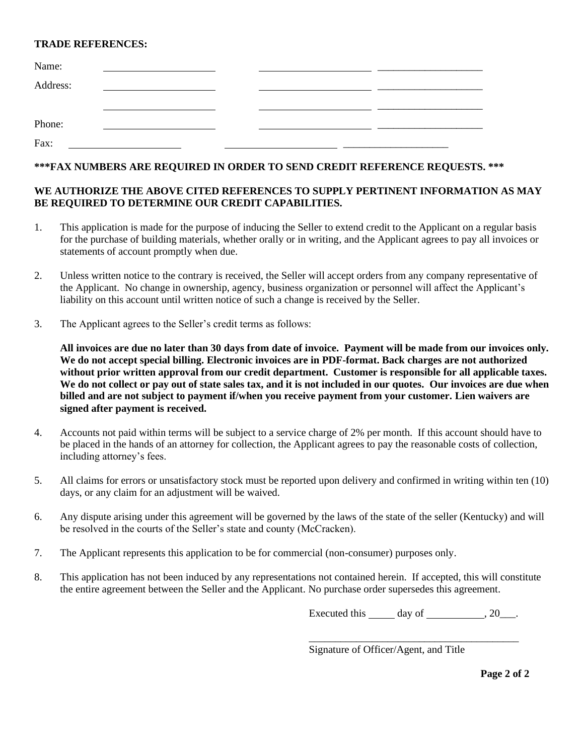## **TRADE REFERENCES:**

| Name:    |  |  |  |
|----------|--|--|--|
| Address: |  |  |  |
|          |  |  |  |
|          |  |  |  |
| Phone:   |  |  |  |
| Fax:     |  |  |  |

# **\*\*\*FAX NUMBERS ARE REQUIRED IN ORDER TO SEND CREDIT REFERENCE REQUESTS. \*\*\***

## **WE AUTHORIZE THE ABOVE CITED REFERENCES TO SUPPLY PERTINENT INFORMATION AS MAY BE REQUIRED TO DETERMINE OUR CREDIT CAPABILITIES.**

- 1. This application is made for the purpose of inducing the Seller to extend credit to the Applicant on a regular basis for the purchase of building materials, whether orally or in writing, and the Applicant agrees to pay all invoices or statements of account promptly when due.
- 2. Unless written notice to the contrary is received, the Seller will accept orders from any company representative of the Applicant. No change in ownership, agency, business organization or personnel will affect the Applicant's liability on this account until written notice of such a change is received by the Seller.
- 3. The Applicant agrees to the Seller's credit terms as follows:

**All invoices are due no later than 30 days from date of invoice. Payment will be made from our invoices only. We do not accept special billing. Electronic invoices are in PDF-format. Back charges are not authorized without prior written approval from our credit department. Customer is responsible for all applicable taxes. We do not collect or pay out of state sales tax, and it is not included in our quotes. Our invoices are due when billed and are not subject to payment if/when you receive payment from your customer. Lien waivers are signed after payment is received.**

- 4. Accounts not paid within terms will be subject to a service charge of 2% per month. If this account should have to be placed in the hands of an attorney for collection, the Applicant agrees to pay the reasonable costs of collection, including attorney's fees.
- 5. All claims for errors or unsatisfactory stock must be reported upon delivery and confirmed in writing within ten (10) days, or any claim for an adjustment will be waived.
- 6. Any dispute arising under this agreement will be governed by the laws of the state of the seller (Kentucky) and will be resolved in the courts of the Seller's state and county (McCracken).
- 7. The Applicant represents this application to be for commercial (non-consumer) purposes only.
- 8. This application has not been induced by any representations not contained herein. If accepted, this will constitute the entire agreement between the Seller and the Applicant. No purchase order supersedes this agreement.

Executed this day of  $, 20$ .

\_\_\_\_\_\_\_\_\_\_\_\_\_\_\_\_\_\_\_\_\_\_\_\_\_\_\_\_\_\_\_\_\_\_\_\_\_\_\_\_

Signature of Officer/Agent, and Title

**Page 2 of 2**